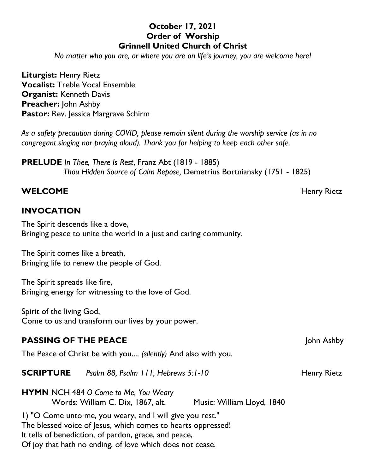## **October 17, 2021 Order of Worship Grinnell United Church of Christ**

*No matter who you are, or where you are on life's journey, you are welcome here!*

**Liturgist:** Henry Rietz **Vocalist:** Treble Vocal Ensemble **Organist:** Kenneth Davis **Preacher:** John Ashby **Pastor:** Rev. Jessica Margrave Schirm

*As a safety precaution during COVID, please remain silent during the worship service (as in no congregant singing nor praying aloud). Thank you for helping to keep each other safe.*

**PRELUDE** *In Thee, There Is Rest*, Franz Abt (1819 - 1885) *Thou Hidden Source of Calm Repose,* Demetrius Bortniansky (1751 - 1825)

#### **WELCOME** Henry Rietz

#### **INVOCATION**

The Spirit descends like a dove, Bringing peace to unite the world in a just and caring community.

The Spirit comes like a breath, Bringing life to renew the people of God.

The Spirit spreads like fire, Bringing energy for witnessing to the love of God.

Spirit of the living God, Come to us and transform our lives by your power.

#### **PASSING OF THE PEACE**  $|0 \text{h} \text{h}|\text{O}}$   $|1 \text{h} \text{h}|\text{A}$ shby

The Peace of Christ be with you.... *(silently)* And also with you.

#### **SCRIPTURE** *Psalm 88, Psalm 111, Hebrews 5:1-10* Henry Rietz

**HYMN** NCH 484 *O Come to Me, You Weary* Words: William C. Dix, 1867, alt. Music: William Lloyd, 1840

1) "O Come unto me, you weary, and I will give you rest." The blessed voice of Jesus, which comes to hearts oppressed! It tells of benediction, of pardon, grace, and peace, Of joy that hath no ending, of love which does not cease.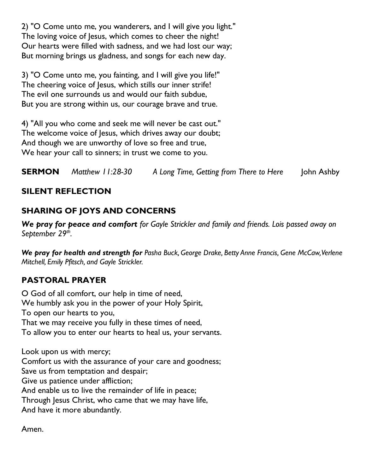2) "O Come unto me, you wanderers, and I will give you light." The loving voice of Jesus, which comes to cheer the night! Our hearts were filled with sadness, and we had lost our way; But morning brings us gladness, and songs for each new day.

3) "O Come unto me, you fainting, and I will give you life!" The cheering voice of Jesus, which stills our inner strife! The evil one surrounds us and would our faith subdue, But you are strong within us, our courage brave and true.

4) "All you who come and seek me will never be cast out." The welcome voice of Jesus, which drives away our doubt; And though we are unworthy of love so free and true, We hear your call to sinners; in trust we come to you.

**SERMON** *Matthew 11:28-30 A Long Time, Getting from There to Here* John Ashby

## **SILENT REFLECTION**

## **SHARING OF JOYS AND CONCERNS**

*We pray for peace and comfort for Gayle Strickler and family and friends. Lois passed away on September 29th .*

*We pray for health and strength for Pasha Buck, George Drake, Betty Anne Francis, Gene McCaw, Verlene Mitchell, Emily Pfitsch, and Gayle Strickler.*

## **PASTORAL PRAYER**

O God of all comfort, our help in time of need, We humbly ask you in the power of your Holy Spirit, To open our hearts to you, That we may receive you fully in these times of need, To allow you to enter our hearts to heal us, your servants.

Look upon us with mercy; Comfort us with the assurance of your care and goodness; Save us from temptation and despair; Give us patience under affliction; And enable us to live the remainder of life in peace; Through Jesus Christ, who came that we may have life, And have it more abundantly.

Amen.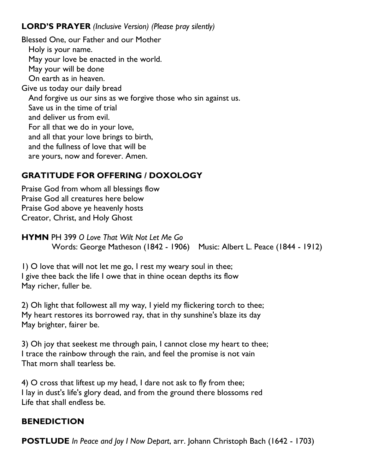## **LORD'S PRAYER** *(Inclusive Version) (Please pray silently)*

Blessed One, our Father and our Mother Holy is your name. May your love be enacted in the world. May your will be done On earth as in heaven. Give us today our daily bread And forgive us our sins as we forgive those who sin against us. Save us in the time of trial and deliver us from evil. For all that we do in your love, and all that your love brings to birth, and the fullness of love that will be are yours, now and forever. Amen.

# **GRATITUDE FOR OFFERING / DOXOLOGY**

Praise God from whom all blessings flow Praise God all creatures here below Praise God above ye heavenly hosts Creator, Christ, and Holy Ghost

**HYMN** PH 399 *O Love That Wilt Not Let Me Go* Words: George Matheson (1842 - 1906) Music: Albert L. Peace (1844 - 1912)

1) O love that will not let me go, I rest my weary soul in thee; I give thee back the life I owe that in thine ocean depths its flow May richer, fuller be.

2) Oh light that followest all my way, I yield my flickering torch to thee; My heart restores its borrowed ray, that in thy sunshine's blaze its day May brighter, fairer be.

3) Oh joy that seekest me through pain, I cannot close my heart to thee; I trace the rainbow through the rain, and feel the promise is not vain That morn shall tearless be.

4) O cross that liftest up my head, I dare not ask to fly from thee; I lay in dust's life's glory dead, and from the ground there blossoms red Life that shall endless be.

## **BENEDICTION**

**POSTLUDE** *In Peace and Joy I Now Depart*, arr. Johann Christoph Bach (1642 - 1703)